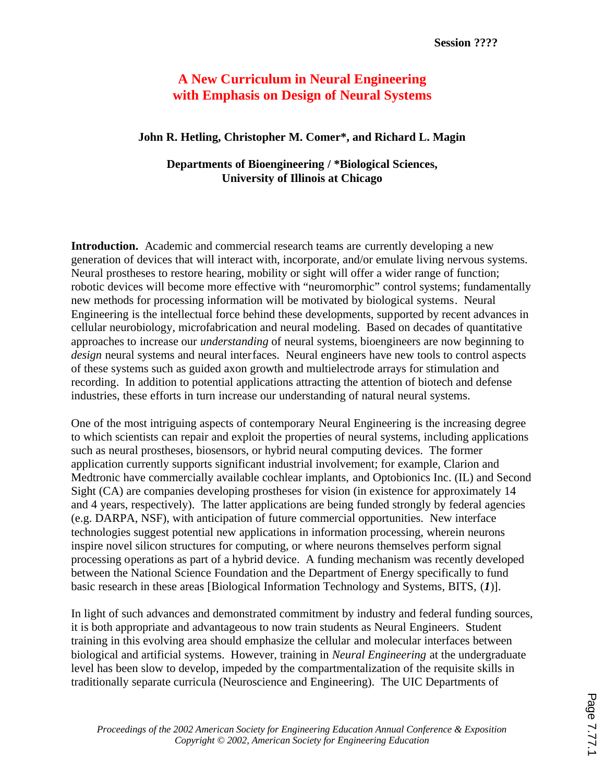# **A New Curriculum in Neural Engineering with Emphasis on Design of Neural Systems**

## **John R. Hetling, Christopher M. Comer\*, and Richard L. Magin**

## **Departments of Bioengineering / \*Biological Sciences, University of Illinois at Chicago**

**Introduction.** Academic and commercial research teams are currently developing a new generation of devices that will interact with, incorporate, and/or emulate living nervous systems. Neural prostheses to restore hearing, mobility or sight will offer a wider range of function; robotic devices will become more effective with "neuromorphic" control systems; fundamentally new methods for processing information will be motivated by biological systems. Neural Engineering is the intellectual force behind these developments, supported by recent advances in cellular neurobiology, microfabrication and neural modeling. Based on decades of quantitative approaches to increase our *understanding* of neural systems, bioengineers are now beginning to *design* neural systems and neural interfaces. Neural engineers have new tools to control aspects of these systems such as guided axon growth and multielectrode arrays for stimulation and recording. In addition to potential applications attracting the attention of biotech and defense industries, these efforts in turn increase our understanding of natural neural systems.

One of the most intriguing aspects of contemporary Neural Engineering is the increasing degree to which scientists can repair and exploit the properties of neural systems, including applications such as neural prostheses, biosensors, or hybrid neural computing devices. The former application currently supports significant industrial involvement; for example, Clarion and Medtronic have commercially available cochlear implants, and Optobionics Inc. (IL) and Second Sight (CA) are companies developing prostheses for vision (in existence for approximately 14 and 4 years, respectively). The latter applications are being funded strongly by federal agencies (e.g. DARPA, NSF), with anticipation of future commercial opportunities. New interface technologies suggest potential new applications in information processing, wherein neurons inspire novel silicon structures for computing, or where neurons themselves perform signal processing operations as part of a hybrid device. A funding mechanism was recently developed between the National Science Foundation and the Department of Energy specifically to fund basic research in these areas [Biological Information Technology and Systems, BITS, (*1*)].

In light of such advances and demonstrated commitment by industry and federal funding sources, it is both appropriate and advantageous to now train students as Neural Engineers. Student training in this evolving area should emphasize the cellular and molecular interfaces between biological and artificial systems. However, training in *Neural Engineering* at the undergraduate level has been slow to develop, impeded by the compartmentalization of the requisite skills in traditionally separate curricula (Neuroscience and Engineering). The UIC Departments of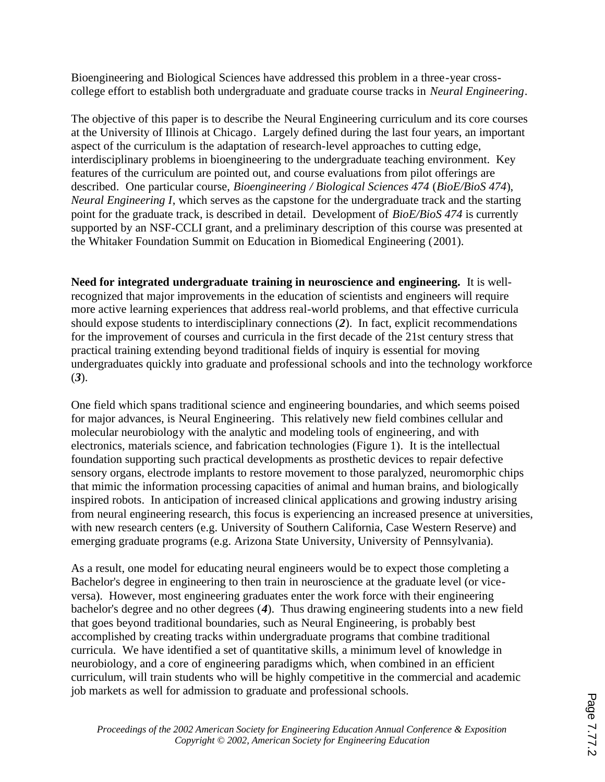Bioengineering and Biological Sciences have addressed this problem in a three-year crosscollege effort to establish both undergraduate and graduate course tracks in *Neural Engineering*.

The objective of this paper is to describe the Neural Engineering curriculum and its core courses at the University of Illinois at Chicago. Largely defined during the last four years, an important aspect of the curriculum is the adaptation of research-level approaches to cutting edge, interdisciplinary problems in bioengineering to the undergraduate teaching environment. Key features of the curriculum are pointed out, and course evaluations from pilot offerings are described. One particular course, *Bioengineering / Biological Sciences 474* (*BioE/BioS 474*), *Neural Engineering I*, which serves as the capstone for the undergraduate track and the starting point for the graduate track, is described in detail. Development of *BioE/BioS 474* is currently supported by an NSF-CCLI grant, and a preliminary description of this course was presented at the Whitaker Foundation Summit on Education in Biomedical Engineering (2001).

**Need for integrated undergraduate training in neuroscience and engineering.** It is wellrecognized that major improvements in the education of scientists and engineers will require more active learning experiences that address real-world problems, and that effective curricula should expose students to interdisciplinary connections (*2*). In fact, explicit recommendations for the improvement of courses and curricula in the first decade of the 21st century stress that practical training extending beyond traditional fields of inquiry is essential for moving undergraduates quickly into graduate and professional schools and into the technology workforce (*3*).

One field which spans traditional science and engineering boundaries, and which seems poised for major advances, is Neural Engineering. This relatively new field combines cellular and molecular neurobiology with the analytic and modeling tools of engineering, and with electronics, materials science, and fabrication technologies (Figure 1). It is the intellectual foundation supporting such practical developments as prosthetic devices to repair defective sensory organs, electrode implants to restore movement to those paralyzed, neuromorphic chips that mimic the information processing capacities of animal and human brains, and biologically inspired robots. In anticipation of increased clinical applications and growing industry arising from neural engineering research, this focus is experiencing an increased presence at universities, with new research centers (e.g. University of Southern California, Case Western Reserve) and emerging graduate programs (e.g. Arizona State University, University of Pennsylvania).

As a result, one model for educating neural engineers would be to expect those completing a Bachelor's degree in engineering to then train in neuroscience at the graduate level (or viceversa). However, most engineering graduates enter the work force with their engineering bachelor's degree and no other degrees (*4*). Thus drawing engineering students into a new field that goes beyond traditional boundaries, such as Neural Engineering, is probably best accomplished by creating tracks within undergraduate programs that combine traditional curricula. We have identified a set of quantitative skills, a minimum level of knowledge in neurobiology, and a core of engineering paradigms which, when combined in an efficient curriculum, will train students who will be highly competitive in the commercial and academic job markets as well for admission to graduate and professional schools.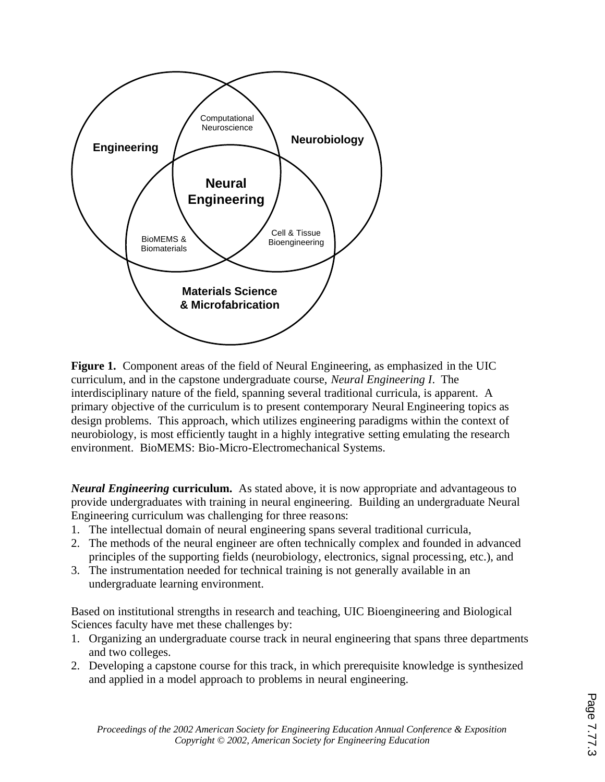

**Figure 1.** Component areas of the field of Neural Engineering, as emphasized in the UIC curriculum, and in the capstone undergraduate course, *Neural Engineering I*. The interdisciplinary nature of the field, spanning several traditional curricula, is apparent. A primary objective of the curriculum is to present contemporary Neural Engineering topics as design problems. This approach, which utilizes engineering paradigms within the context of neurobiology, is most efficiently taught in a highly integrative setting emulating the research environment. BioMEMS: Bio-Micro-Electromechanical Systems.

*Neural Engineering* **curriculum.** As stated above, it is now appropriate and advantageous to provide undergraduates with training in neural engineering. Building an undergraduate Neural Engineering curriculum was challenging for three reasons:

- 1. The intellectual domain of neural engineering spans several traditional curricula,
- 2. The methods of the neural engineer are often technically complex and founded in advanced principles of the supporting fields (neurobiology, electronics, signal processing, etc.), and
- 3. The instrumentation needed for technical training is not generally available in an undergraduate learning environment.

Based on institutional strengths in research and teaching, UIC Bioengineering and Biological Sciences faculty have met these challenges by:

- 1. Organizing an undergraduate course track in neural engineering that spans three departments and two colleges.
- 2. Developing a capstone course for this track, in which prerequisite knowledge is synthesized and applied in a model approach to problems in neural engineering.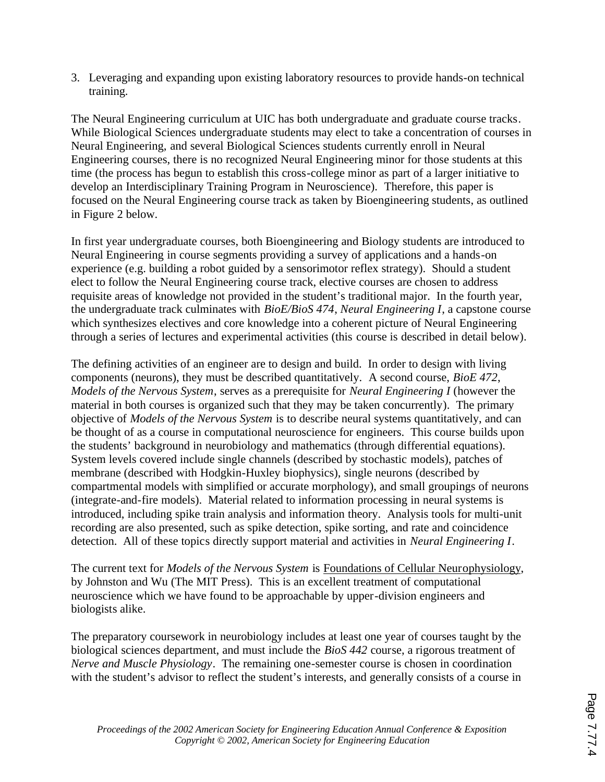3. Leveraging and expanding upon existing laboratory resources to provide hands-on technical training.

The Neural Engineering curriculum at UIC has both undergraduate and graduate course tracks. While Biological Sciences undergraduate students may elect to take a concentration of courses in Neural Engineering, and several Biological Sciences students currently enroll in Neural Engineering courses, there is no recognized Neural Engineering minor for those students at this time (the process has begun to establish this cross-college minor as part of a larger initiative to develop an Interdisciplinary Training Program in Neuroscience). Therefore, this paper is focused on the Neural Engineering course track as taken by Bioengineering students, as outlined in Figure 2 below.

In first year undergraduate courses, both Bioengineering and Biology students are introduced to Neural Engineering in course segments providing a survey of applications and a hands-on experience (e.g. building a robot guided by a sensorimotor reflex strategy). Should a student elect to follow the Neural Engineering course track, elective courses are chosen to address requisite areas of knowledge not provided in the student's traditional major. In the fourth year, the undergraduate track culminates with *BioE/BioS 474*, *Neural Engineering I*, a capstone course which synthesizes electives and core knowledge into a coherent picture of Neural Engineering through a series of lectures and experimental activities (this course is described in detail below).

The defining activities of an engineer are to design and build. In order to design with living components (neurons), they must be described quantitatively. A second course, *BioE 472*, *Models of the Nervous System*, serves as a prerequisite for *Neural Engineering I* (however the material in both courses is organized such that they may be taken concurrently). The primary objective of *Models of the Nervous System* is to describe neural systems quantitatively, and can be thought of as a course in computational neuroscience for engineers. This course builds upon the students' background in neurobiology and mathematics (through differential equations). System levels covered include single channels (described by stochastic models), patches of membrane (described with Hodgkin-Huxley biophysics), single neurons (described by compartmental models with simplified or accurate morphology), and small groupings of neurons (integrate-and-fire models). Material related to information processing in neural systems is introduced, including spike train analysis and information theory. Analysis tools for multi-unit recording are also presented, such as spike detection, spike sorting, and rate and coincidence detection. All of these topics directly support material and activities in *Neural Engineering I*.

The current text for *Models of the Nervous System* is Foundations of Cellular Neurophysiology, by Johnston and Wu (The MIT Press). This is an excellent treatment of computational neuroscience which we have found to be approachable by upper-division engineers and biologists alike.

The preparatory coursework in neurobiology includes at least one year of courses taught by the biological sciences department, and must include the *BioS 442* course, a rigorous treatment of *Nerve and Muscle Physiology*. The remaining one-semester course is chosen in coordination with the student's advisor to reflect the student's interests, and generally consists of a course in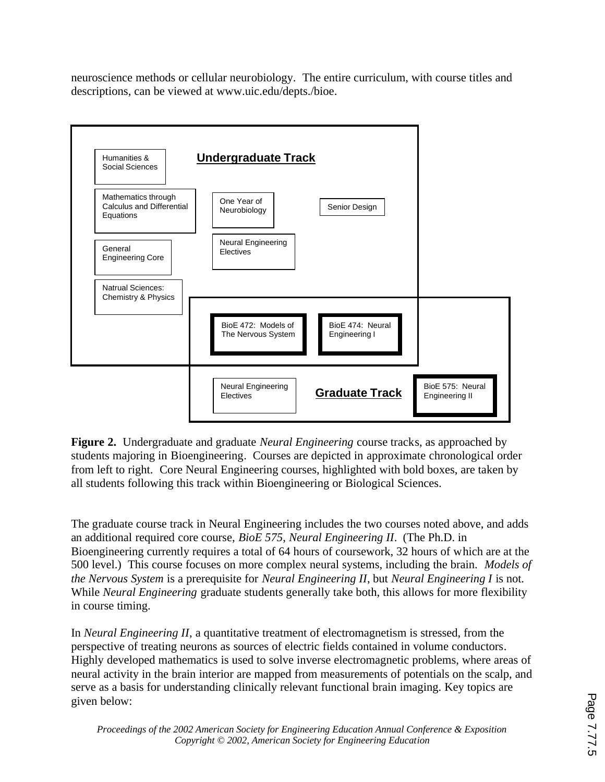neuroscience methods or cellular neurobiology. The entire curriculum, with course titles and descriptions, can be viewed at www.uic.edu/depts./bioe.



**Figure 2.** Undergraduate and graduate *Neural Engineering* course tracks, as approached by students majoring in Bioengineering. Courses are depicted in approximate chronological order from left to right. Core Neural Engineering courses, highlighted with bold boxes, are taken by all students following this track within Bioengineering or Biological Sciences.

The graduate course track in Neural Engineering includes the two courses noted above, and adds an additional required core course, *BioE 575*, *Neural Engineering II*. (The Ph.D. in Bioengineering currently requires a total of 64 hours of coursework, 32 hours of which are at the 500 level.) This course focuses on more complex neural systems, including the brain. *Models of the Nervous System* is a prerequisite for *Neural Engineering II*, but *Neural Engineering I* is not. While *Neural Engineering* graduate students generally take both, this allows for more flexibility in course timing.

In *Neural Engineering II*, a quantitative treatment of electromagnetism is stressed, from the perspective of treating neurons as sources of electric fields contained in volume conductors. Highly developed mathematics is used to solve inverse electromagnetic problems, where areas of neural activity in the brain interior are mapped from measurements of potentials on the scalp, and serve as a basis for understanding clinically relevant functional brain imaging. Key topics are given below: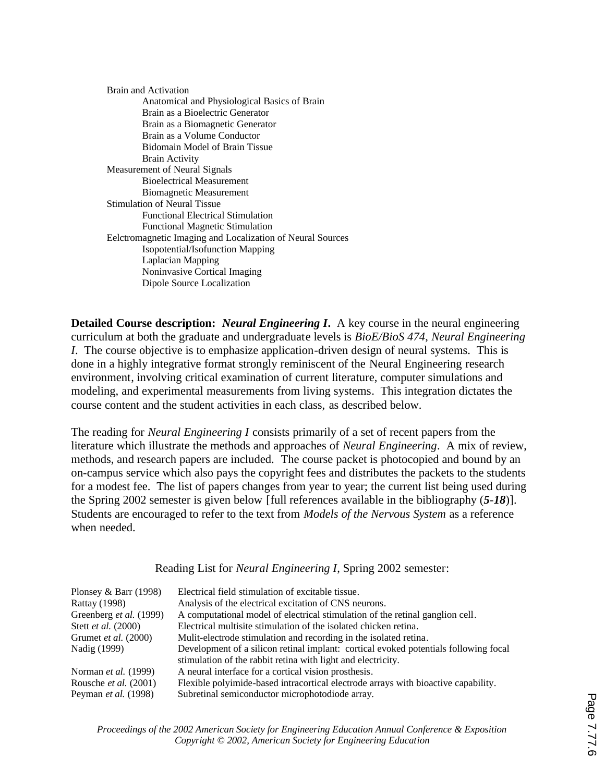| Brain and Activation                                       |
|------------------------------------------------------------|
| Anatomical and Physiological Basics of Brain               |
| Brain as a Bioelectric Generator                           |
| Brain as a Biomagnetic Generator                           |
| Brain as a Volume Conductor                                |
| Bidomain Model of Brain Tissue                             |
| <b>Brain Activity</b>                                      |
| Measurement of Neural Signals                              |
| <b>Bioelectrical Measurement</b>                           |
| <b>Biomagnetic Measurement</b>                             |
| <b>Stimulation of Neural Tissue</b>                        |
| <b>Functional Electrical Stimulation</b>                   |
| <b>Functional Magnetic Stimulation</b>                     |
| Eelctromagnetic Imaging and Localization of Neural Sources |
| <b>Isopotential/Isofunction Mapping</b>                    |
| Laplacian Mapping                                          |
| Noninvasive Cortical Imaging                               |
| Dipole Source Localization                                 |

**Detailed Course description:** *Neural Engineering I***.** A key course in the neural engineering curriculum at both the graduate and undergraduate levels is *BioE/BioS 474*, *Neural Engineering I*. The course objective is to emphasize application-driven design of neural systems. This is done in a highly integrative format strongly reminiscent of the Neural Engineering research environment, involving critical examination of current literature, computer simulations and modeling, and experimental measurements from living systems. This integration dictates the course content and the student activities in each class, as described below.

The reading for *Neural Engineering I* consists primarily of a set of recent papers from the literature which illustrate the methods and approaches of *Neural Engineering*. A mix of review, methods, and research papers are included. The course packet is photocopied and bound by an on-campus service which also pays the copyright fees and distributes the packets to the students for a modest fee. The list of papers changes from year to year; the current list being used during the Spring 2002 semester is given below [full references available in the bibliography (*5*-*18*)]. Students are encouraged to refer to the text from *Models of the Nervous System* as a reference when needed.

Reading List for *Neural Engineering I*, Spring 2002 semester:

| Plonsey & Barr $(1998)$ | Electrical field stimulation of excitable tissue.                                    |
|-------------------------|--------------------------------------------------------------------------------------|
| <b>Rattay (1998)</b>    | Analysis of the electrical excitation of CNS neurons.                                |
| Greenberg et al. (1999) | A computational model of electrical stimulation of the retinal ganglion cell.        |
| Stett et al. (2000)     | Electrical multisite stimulation of the isolated chicken retina.                     |
| Grumet et al. (2000)    | Mulit-electrode stimulation and recording in the isolated retina.                    |
| Nadig (1999)            | Development of a silicon retinal implant: cortical evoked potentials following focal |
|                         | stimulation of the rabbit retina with light and electricity.                         |
| Norman et al. (1999)    | A neural interface for a cortical vision prosthesis.                                 |
| Rousche et al. (2001)   | Flexible polyimide-based intracortical electrode arrays with bioactive capability.   |
| Peyman et al. (1998)    | Subretinal semiconductor microphotodiode array.                                      |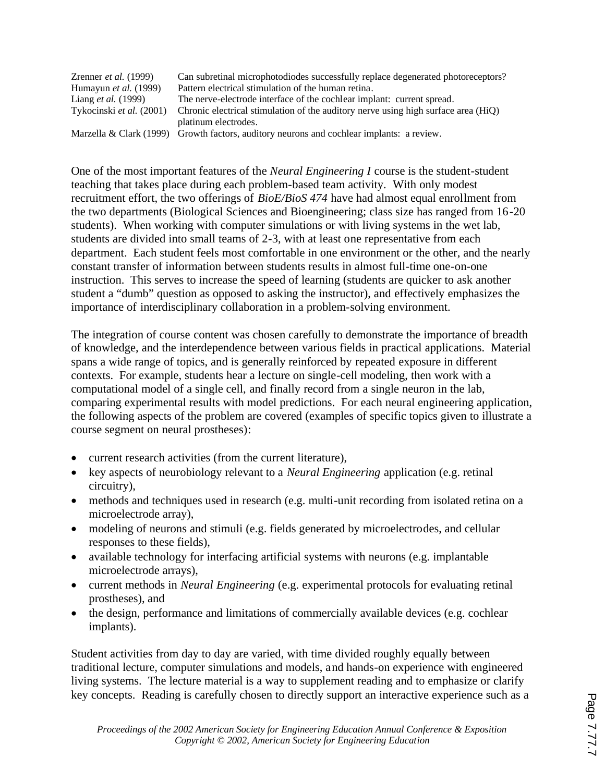| Zrenner <i>et al.</i> $(1999)$ | Can subretinal microphotodiodes successfully replace degenerated photoreceptors?          |
|--------------------------------|-------------------------------------------------------------------------------------------|
| Humayun <i>et al.</i> (1999)   | Pattern electrical stimulation of the human retina.                                       |
| Liang <i>et al.</i> (1999)     | The nerve-electrode interface of the cochlear implant: current spread.                    |
| Tykocinski et al. (2001)       | Chronic electrical stimulation of the auditory nerve using high surface area (HiQ)        |
|                                | platinum electrodes.                                                                      |
|                                | Marzella & Clark (1999) Growth factors, auditory neurons and cochlear implants: a review. |

One of the most important features of the *Neural Engineering I* course is the student-student teaching that takes place during each problem-based team activity. With only modest recruitment effort, the two offerings of *BioE/BioS 474* have had almost equal enrollment from the two departments (Biological Sciences and Bioengineering; class size has ranged from 16-20 students). When working with computer simulations or with living systems in the wet lab, students are divided into small teams of 2-3, with at least one representative from each department. Each student feels most comfortable in one environment or the other, and the nearly constant transfer of information between students results in almost full-time one-on-one instruction. This serves to increase the speed of learning (students are quicker to ask another student a "dumb" question as opposed to asking the instructor), and effectively emphasizes the importance of interdisciplinary collaboration in a problem-solving environment.

The integration of course content was chosen carefully to demonstrate the importance of breadth of knowledge, and the interdependence between various fields in practical applications. Material spans a wide range of topics, and is generally reinforced by repeated exposure in different contexts. For example, students hear a lecture on single-cell modeling, then work with a computational model of a single cell, and finally record from a single neuron in the lab, comparing experimental results with model predictions. For each neural engineering application, the following aspects of the problem are covered (examples of specific topics given to illustrate a course segment on neural prostheses):

- current research activities (from the current literature),
- · key aspects of neurobiology relevant to a *Neural Engineering* application (e.g. retinal circuitry),
- methods and techniques used in research (e.g. multi-unit recording from isolated retina on a microelectrode array),
- modeling of neurons and stimuli (e.g. fields generated by microelectrodes, and cellular responses to these fields),
- available technology for interfacing artificial systems with neurons (e.g. implantable microelectrode arrays),
- · current methods in *Neural Engineering* (e.g. experimental protocols for evaluating retinal prostheses), and
- the design, performance and limitations of commercially available devices (e.g. cochlear implants).

Student activities from day to day are varied, with time divided roughly equally between traditional lecture, computer simulations and models, and hands-on experience with engineered living systems. The lecture material is a way to supplement reading and to emphasize or clarify key concepts. Reading is carefully chosen to directly support an interactive experience such as a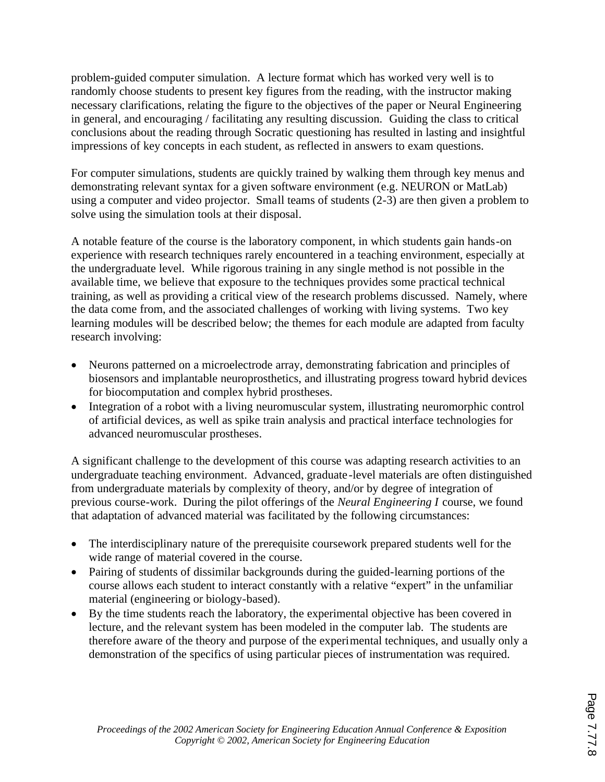problem-guided computer simulation. A lecture format which has worked very well is to randomly choose students to present key figures from the reading, with the instructor making necessary clarifications, relating the figure to the objectives of the paper or Neural Engineering in general, and encouraging / facilitating any resulting discussion. Guiding the class to critical conclusions about the reading through Socratic questioning has resulted in lasting and insightful impressions of key concepts in each student, as reflected in answers to exam questions.

For computer simulations, students are quickly trained by walking them through key menus and demonstrating relevant syntax for a given software environment (e.g. NEURON or MatLab) using a computer and video projector. Small teams of students (2-3) are then given a problem to solve using the simulation tools at their disposal.

A notable feature of the course is the laboratory component, in which students gain hands-on experience with research techniques rarely encountered in a teaching environment, especially at the undergraduate level. While rigorous training in any single method is not possible in the available time, we believe that exposure to the techniques provides some practical technical training, as well as providing a critical view of the research problems discussed. Namely, where the data come from, and the associated challenges of working with living systems. Two key learning modules will be described below; the themes for each module are adapted from faculty research involving:

- · Neurons patterned on a microelectrode array, demonstrating fabrication and principles of biosensors and implantable neuroprosthetics, and illustrating progress toward hybrid devices for biocomputation and complex hybrid prostheses.
- Integration of a robot with a living neuromuscular system, illustrating neuromorphic control of artificial devices, as well as spike train analysis and practical interface technologies for advanced neuromuscular prostheses.

A significant challenge to the development of this course was adapting research activities to an undergraduate teaching environment. Advanced, graduate-level materials are often distinguished from undergraduate materials by complexity of theory, and/or by degree of integration of previous course-work. During the pilot offerings of the *Neural Engineering I* course, we found that adaptation of advanced material was facilitated by the following circumstances:

- The interdisciplinary nature of the prerequisite coursework prepared students well for the wide range of material covered in the course.
- Pairing of students of dissimilar backgrounds during the guided-learning portions of the course allows each student to interact constantly with a relative "expert" in the unfamiliar material (engineering or biology-based).
- · By the time students reach the laboratory, the experimental objective has been covered in lecture, and the relevant system has been modeled in the computer lab. The students are therefore aware of the theory and purpose of the experimental techniques, and usually only a demonstration of the specifics of using particular pieces of instrumentation was required.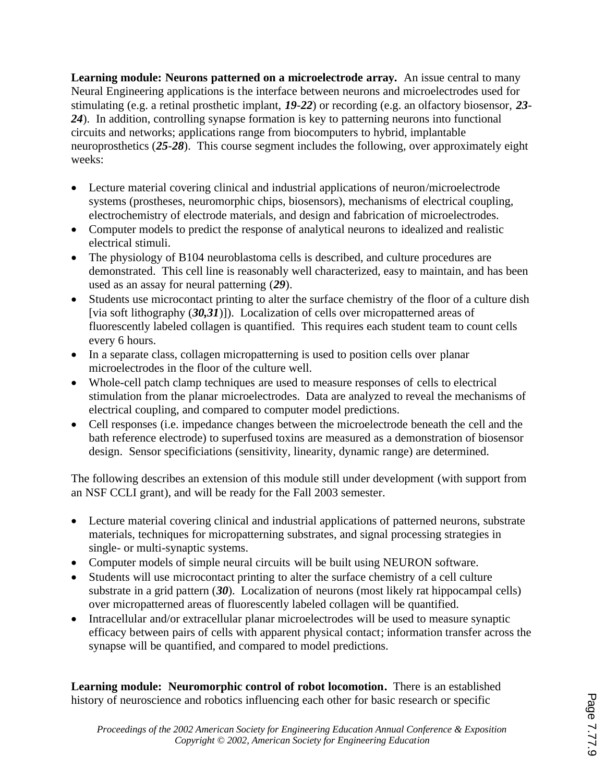**Learning module: Neurons patterned on a microelectrode array.** An issue central to many Neural Engineering applications is the interface between neurons and microelectrodes used for stimulating (e.g. a retinal prosthetic implant, *19*-*22*) or recording (e.g. an olfactory biosensor, *23*- *24*). In addition, controlling synapse formation is key to patterning neurons into functional circuits and networks; applications range from biocomputers to hybrid, implantable neuroprosthetics (*25*-*28*). This course segment includes the following, over approximately eight weeks:

- · Lecture material covering clinical and industrial applications of neuron/microelectrode systems (prostheses, neuromorphic chips, biosensors), mechanisms of electrical coupling, electrochemistry of electrode materials, and design and fabrication of microelectrodes.
- · Computer models to predict the response of analytical neurons to idealized and realistic electrical stimuli.
- The physiology of B104 neuroblastoma cells is described, and culture procedures are demonstrated. This cell line is reasonably well characterized, easy to maintain, and has been used as an assay for neural patterning (*29*).
- Students use microcontact printing to alter the surface chemistry of the floor of a culture dish [via soft lithography (*30,31*)]). Localization of cells over micropatterned areas of fluorescently labeled collagen is quantified. This requires each student team to count cells every 6 hours.
- In a separate class, collagen micropatterning is used to position cells over planar microelectrodes in the floor of the culture well.
- · Whole-cell patch clamp techniques are used to measure responses of cells to electrical stimulation from the planar microelectrodes. Data are analyzed to reveal the mechanisms of electrical coupling, and compared to computer model predictions.
- · Cell responses (i.e. impedance changes between the microelectrode beneath the cell and the bath reference electrode) to superfused toxins are measured as a demonstration of biosensor design. Sensor specificiations (sensitivity, linearity, dynamic range) are determined.

The following describes an extension of this module still under development (with support from an NSF CCLI grant), and will be ready for the Fall 2003 semester.

- Lecture material covering clinical and industrial applications of patterned neurons, substrate materials, techniques for micropatterning substrates, and signal processing strategies in single- or multi-synaptic systems.
- Computer models of simple neural circuits will be built using NEURON software.
- · Students will use microcontact printing to alter the surface chemistry of a cell culture substrate in a grid pattern (*30*). Localization of neurons (most likely rat hippocampal cells) over micropatterned areas of fluorescently labeled collagen will be quantified.
- · Intracellular and/or extracellular planar microelectrodes will be used to measure synaptic efficacy between pairs of cells with apparent physical contact; information transfer across the synapse will be quantified, and compared to model predictions.

**Learning module: Neuromorphic control of robot locomotion.** There is an established history of neuroscience and robotics influencing each other for basic research or specific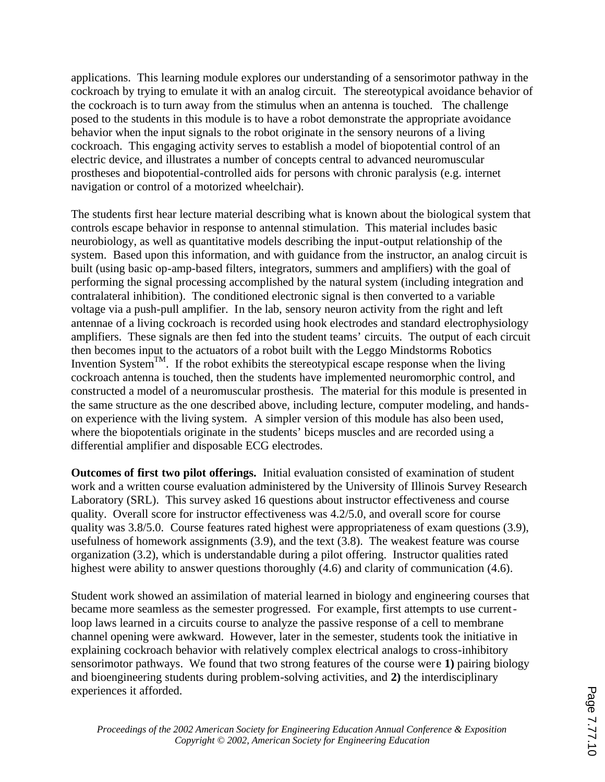applications. This learning module explores our understanding of a sensorimotor pathway in the cockroach by trying to emulate it with an analog circuit. The stereotypical avoidance behavior of the cockroach is to turn away from the stimulus when an antenna is touched. The challenge posed to the students in this module is to have a robot demonstrate the appropriate avoidance behavior when the input signals to the robot originate in the sensory neurons of a living cockroach. This engaging activity serves to establish a model of biopotential control of an electric device, and illustrates a number of concepts central to advanced neuromuscular prostheses and biopotential-controlled aids for persons with chronic paralysis (e.g. internet navigation or control of a motorized wheelchair).

The students first hear lecture material describing what is known about the biological system that controls escape behavior in response to antennal stimulation. This material includes basic neurobiology, as well as quantitative models describing the input-output relationship of the system. Based upon this information, and with guidance from the instructor, an analog circuit is built (using basic op-amp-based filters, integrators, summers and amplifiers) with the goal of performing the signal processing accomplished by the natural system (including integration and contralateral inhibition). The conditioned electronic signal is then converted to a variable voltage via a push-pull amplifier. In the lab, sensory neuron activity from the right and left antennae of a living cockroach is recorded using hook electrodes and standard electrophysiology amplifiers. These signals are then fed into the student teams' circuits. The output of each circuit then becomes input to the actuators of a robot built with the Leggo Mindstorms Robotics Invention System<sup>TM</sup>. If the robot exhibits the stereotypical escape response when the living cockroach antenna is touched, then the students have implemented neuromorphic control, and constructed a model of a neuromuscular prosthesis. The material for this module is presented in the same structure as the one described above, including lecture, computer modeling, and handson experience with the living system. A simpler version of this module has also been used, where the biopotentials originate in the students' biceps muscles and are recorded using a differential amplifier and disposable ECG electrodes.

**Outcomes of first two pilot offerings.** Initial evaluation consisted of examination of student work and a written course evaluation administered by the University of Illinois Survey Research Laboratory (SRL). This survey asked 16 questions about instructor effectiveness and course quality. Overall score for instructor effectiveness was 4.2/5.0, and overall score for course quality was 3.8/5.0. Course features rated highest were appropriateness of exam questions (3.9), usefulness of homework assignments (3.9), and the text (3.8). The weakest feature was course organization (3.2), which is understandable during a pilot offering. Instructor qualities rated highest were ability to answer questions thoroughly (4.6) and clarity of communication (4.6).

Student work showed an assimilation of material learned in biology and engineering courses that became more seamless as the semester progressed. For example, first attempts to use currentloop laws learned in a circuits course to analyze the passive response of a cell to membrane channel opening were awkward. However, later in the semester, students took the initiative in explaining cockroach behavior with relatively complex electrical analogs to cross-inhibitory sensorimotor pathways. We found that two strong features of the course were **1)** pairing biology and bioengineering students during problem-solving activities, and **2)** the interdisciplinary experiences it afforded.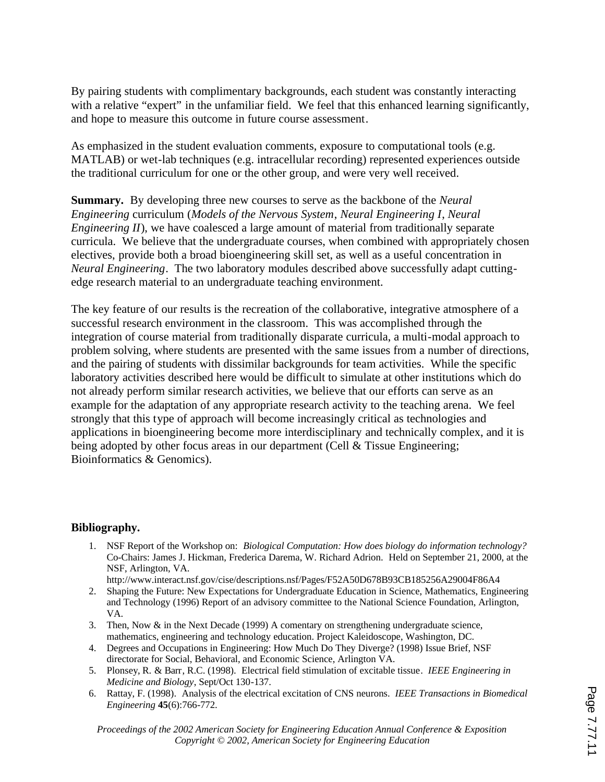By pairing students with complimentary backgrounds, each student was constantly interacting with a relative "expert" in the unfamiliar field. We feel that this enhanced learning significantly, and hope to measure this outcome in future course assessment.

As emphasized in the student evaluation comments, exposure to computational tools (e.g. MATLAB) or wet-lab techniques (e.g. intracellular recording) represented experiences outside the traditional curriculum for one or the other group, and were very well received.

**Summary.** By developing three new courses to serve as the backbone of the *Neural Engineering* curriculum (*Models of the Nervous System*, *Neural Engineering I*, *Neural Engineering II*), we have coalesced a large amount of material from traditionally separate curricula. We believe that the undergraduate courses, when combined with appropriately chosen electives, provide both a broad bioengineering skill set, as well as a useful concentration in *Neural Engineering*. The two laboratory modules described above successfully adapt cuttingedge research material to an undergraduate teaching environment.

The key feature of our results is the recreation of the collaborative, integrative atmosphere of a successful research environment in the classroom. This was accomplished through the integration of course material from traditionally disparate curricula, a multi-modal approach to problem solving, where students are presented with the same issues from a number of directions, and the pairing of students with dissimilar backgrounds for team activities. While the specific laboratory activities described here would be difficult to simulate at other institutions which do not already perform similar research activities, we believe that our efforts can serve as an example for the adaptation of any appropriate research activity to the teaching arena. We feel strongly that this type of approach will become increasingly critical as technologies and applications in bioengineering become more interdisciplinary and technically complex, and it is being adopted by other focus areas in our department (Cell & Tissue Engineering; Bioinformatics & Genomics).

#### **Bibliography.**

1. NSF Report of the Workshop on: *Biological Computation: How does biology do information technology?* Co-Chairs: James J. Hickman, Frederica Darema, W. Richard Adrion. Held on September 21, 2000, at the NSF, Arlington, VA.

http://www.interact.nsf.gov/cise/descriptions.nsf/Pages/F52A50D678B93CB185256A29004F86A4

- 2. Shaping the Future: New Expectations for Undergraduate Education in Science, Mathematics, Engineering and Technology (1996) Report of an advisory committee to the National Science Foundation, Arlington, VA.
- 3. Then, Now & in the Next Decade (1999) A comentary on strengthening undergraduate science, mathematics, engineering and technology education. Project Kaleidoscope, Washington, DC.
- 4. Degrees and Occupations in Engineering: How Much Do They Diverge? (1998) Issue Brief, NSF directorate for Social, Behavioral, and Economic Science, Arlington VA.
- 5. Plonsey, R. & Barr, R.C. (1998). Electrical field stimulation of excitable tissue. *IEEE Engineering in Medicine and Biology*, Sept/Oct 130-137.
- 6. Rattay, F. (1998). Analysis of the electrical excitation of CNS neurons. *IEEE Transactions in Biomedical Engineering* **45**(6):766-772.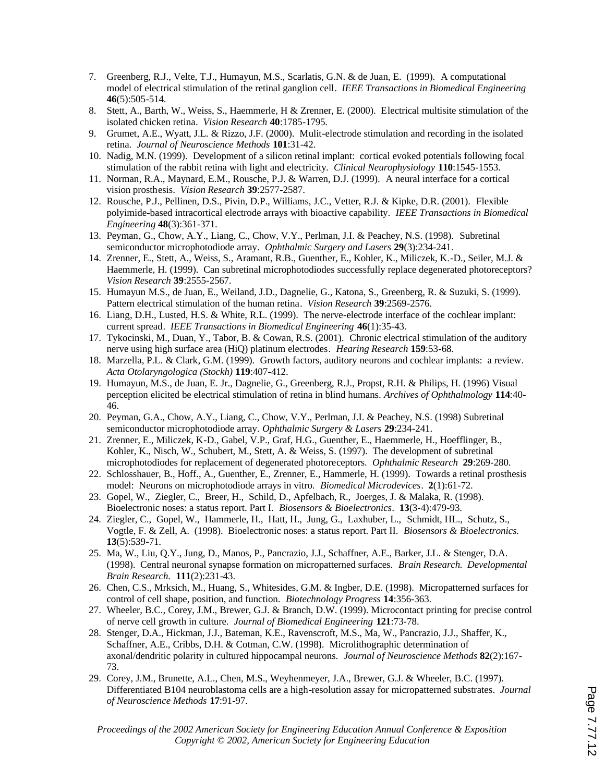- 7. Greenberg, R.J., Velte, T.J., Humayun, M.S., Scarlatis, G.N. & de Juan, E. (1999). A computational model of electrical stimulation of the retinal ganglion cell. *IEEE Transactions in Biomedical Engineering* **46**(5):505-514.
- 8. Stett, A., Barth, W., Weiss, S., Haemmerle, H & Zrenner, E. (2000). Electrical multisite stimulation of the isolated chicken retina. *Vision Research* **40**:1785-1795.
- 9. Grumet, A.E., Wyatt, J.L. & Rizzo, J.F. (2000). Mulit-electrode stimulation and recording in the isolated retina. *Journal of Neuroscience Methods* **101**:31-42.
- 10. Nadig, M.N. (1999). Development of a silicon retinal implant: cortical evoked potentials following focal stimulation of the rabbit retina with light and electricity. *Clinical Neurophysiology* **110**:1545-1553.
- 11. Norman, R.A., Maynard, E.M., Rousche, P.J. & Warren, D.J. (1999). A neural interface for a cortical vision prosthesis. *Vision Research* **39**:2577-2587.
- 12. Rousche, P.J., Pellinen, D.S., Pivin, D.P., Williams, J.C., Vetter, R.J. & Kipke, D.R. (2001). Flexible polyimide-based intracortical electrode arrays with bioactive capability. *IEEE Transactions in Biomedical Engineering* **48**(3):361-371.
- 13. Peyman, G., Chow, A.Y., Liang, C., Chow, V.Y., Perlman, J.I. & Peachey, N.S. (1998). Subretinal semiconductor microphotodiode array. *Ophthalmic Surgery and Lasers* **29**(3):234-241.
- 14. Zrenner, E., Stett, A., Weiss, S., Aramant, R.B., Guenther, E., Kohler, K., Miliczek, K.-D., Seiler, M.J. & Haemmerle, H. (1999). Can subretinal microphotodiodes successfully replace degenerated photoreceptors? *Vision Research* **39**:2555-2567.
- 15. Humayun M.S., de Juan, E., Weiland, J.D., Dagnelie, G., Katona, S., Greenberg, R. & Suzuki, S. (1999). Pattern electrical stimulation of the human retina. *Vision Research* **39**:2569-2576.
- 16. Liang, D.H., Lusted, H.S. & White, R.L. (1999). The nerve-electrode interface of the cochlear implant: current spread. *IEEE Transactions in Biomedical Engineering* **46**(1):35-43.
- 17. Tykocinski, M., Duan, Y., Tabor, B. & Cowan, R.S. (2001). Chronic electrical stimulation of the auditory nerve using high surface area (HiQ) platinum electrodes. *Hearing Research* **159**:53-68.
- 18. Marzella, P.L. & Clark, G.M. (1999). Growth factors, auditory neurons and cochlear implants: a review. *Acta Otolaryngologica (Stockh)* **119**:407-412.
- 19. Humayun, M.S., de Juan, E. Jr., Dagnelie, G., Greenberg, R.J., Propst, R.H. & Philips, H. (1996) Visual perception elicited be electrical stimulation of retina in blind humans. *Archives of Ophthalmology* **114**:40- 46.
- 20. Peyman, G.A., Chow, A.Y., Liang, C., Chow, V.Y., Perlman, J.I. & Peachey, N.S. (1998) Subretinal semiconductor microphotodiode array. *Ophthalmic Surgery & Lasers* **29**:234-241.
- 21. Zrenner, E., Miliczek, K-D., Gabel, V.P., Graf, H.G., Guenther, E., Haemmerle, H., Hoefflinger, B., Kohler, K., Nisch, W., Schubert, M., Stett, A. & Weiss, S. (1997). The development of subretinal microphotodiodes for replacement of degenerated photoreceptors. *Ophthalmic Research* **29**:269-280.
- 22. Schlosshauer, B., Hoff., A., Guenther, E., Zrenner, E., Hammerle, H. (1999). Towards a retinal prosthesis model: Neurons on microphotodiode arrays in vitro. *Biomedical Microdevices*. **2**(1):61-72.
- 23. Gopel, W., Ziegler, C., Breer, H., Schild, D., Apfelbach, R., Joerges, J. & Malaka, R. (1998). Bioelectronic noses: a status report. Part I. *Biosensors & Bioelectronics*. **13**(3-4):479-93.
- 24. Ziegler, C., Gopel, W., Hammerle, H., Hatt, H., Jung, G., Laxhuber, L., Schmidt, HL., Schutz, S., Vogtle, F. & Zell, A. (1998). Bioelectronic noses: a status report. Part II. *Biosensors & Bioelectronics.* **13**(5):539-71.
- 25. Ma, W., Liu, Q.Y., Jung, D., Manos, P., Pancrazio, J.J., Schaffner, A.E., Barker, J.L. & Stenger, D.A. (1998). Central neuronal synapse formation on micropatterned surfaces. *Brain Research. Developmental Brain Research.* **111**(2):231-43.
- 26. Chen, C.S., Mrksich, M., Huang, S., Whitesides, G.M. & Ingber, D.E. (1998). Micropatterned surfaces for control of cell shape, position, and function. *Biotechnology Progress* **14**:356-363.
- 27. Wheeler, B.C., Corey, J.M., Brewer, G.J. & Branch, D.W. (1999). Microcontact printing for precise control of nerve cell growth in culture. *Journal of Biomedical Engineering* **121**:73-78.
- 28. Stenger, D.A., Hickman, J.J., Bateman, K.E., Ravenscroft, M.S., Ma, W., Pancrazio, J.J., Shaffer, K., Schaffner, A.E., Cribbs, D.H. & Cotman, C.W. (1998). Microlithographic determination of axonal/dendritic polarity in cultured hippocampal neurons. *Journal of Neuroscience Methods* **82**(2):167- 73.
- 29. Corey, J.M., Brunette, A.L., Chen, M.S., Weyhenmeyer, J.A., Brewer, G.J. & Wheeler, B.C. (1997). Differentiated B104 neuroblastoma cells are a high-resolution assay for micropatterned substrates*. Journal of Neuroscience Methods* **17**:91-97.